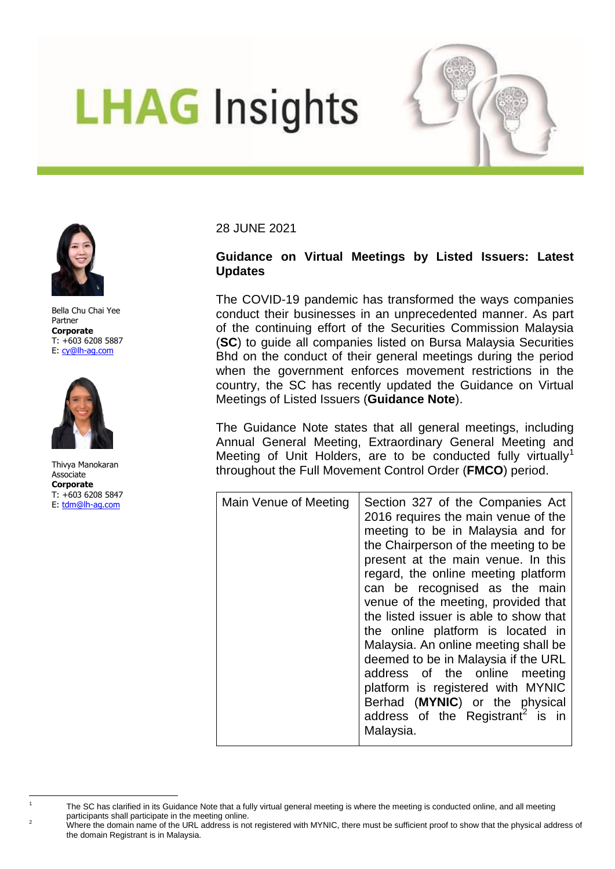## **LHAG Insights**





Bella Chu Chai Yee Partner **Corporate** T: +603 6208 5887 E: [cy@lh-ag.com](mailto:cy@lh-ag.com)



Thivya Manokaran Associate **Corporate** T: +603 6208 5847 E: [tdm@lh-ag.com](mailto:tdm@lh-ag.com)

 $\overline{a}$ 1 28 JUNE 2021

## **Guidance on Virtual Meetings by Listed Issuers: Latest Updates**

The COVID-19 pandemic has transformed the ways companies conduct their businesses in an unprecedented manner. As part of the continuing effort of the Securities Commission Malaysia (**SC**) to guide all companies listed on Bursa Malaysia Securities Bhd on the conduct of their general meetings during the period when the government enforces movement restrictions in the country, the SC has recently updated the Guidance on Virtual Meetings of Listed Issuers (**Guidance Note**).

The Guidance Note states that all general meetings, including Annual General Meeting, Extraordinary General Meeting and Meeting of Unit Holders, are to be conducted fully virtually<sup>1</sup> throughout the Full Movement Control Order (**FMCO**) period.

| Section 327 of the Companies Act<br>Main Venue of Meeting<br>2016 requires the main venue of the<br>meeting to be in Malaysia and for<br>the Chairperson of the meeting to be<br>present at the main venue. In this<br>regard, the online meeting platform<br>can be recognised as the main |  |
|---------------------------------------------------------------------------------------------------------------------------------------------------------------------------------------------------------------------------------------------------------------------------------------------|--|
|                                                                                                                                                                                                                                                                                             |  |
|                                                                                                                                                                                                                                                                                             |  |
|                                                                                                                                                                                                                                                                                             |  |
|                                                                                                                                                                                                                                                                                             |  |
|                                                                                                                                                                                                                                                                                             |  |
|                                                                                                                                                                                                                                                                                             |  |
| venue of the meeting, provided that                                                                                                                                                                                                                                                         |  |
| the listed issuer is able to show that                                                                                                                                                                                                                                                      |  |
| the online platform is located in                                                                                                                                                                                                                                                           |  |
| Malaysia. An online meeting shall be                                                                                                                                                                                                                                                        |  |
| deemed to be in Malaysia if the URL                                                                                                                                                                                                                                                         |  |
| address of the online meeting                                                                                                                                                                                                                                                               |  |
| platform is registered with MYNIC                                                                                                                                                                                                                                                           |  |
| Berhad (MYNIC) or the physical                                                                                                                                                                                                                                                              |  |
| address of the Registrant <sup>2</sup> is in                                                                                                                                                                                                                                                |  |
| Malaysia.                                                                                                                                                                                                                                                                                   |  |

The SC has clarified in its Guidance Note that a fully virtual general meeting is where the meeting is conducted online, and all meeting participants shall participate in the meeting online.

<sup>&</sup>lt;sup>2</sup> Where the domain name of the URL address is not registered with MYNIC, there must be sufficient proof to show that the physical address of the domain Registrant is in Malaysia.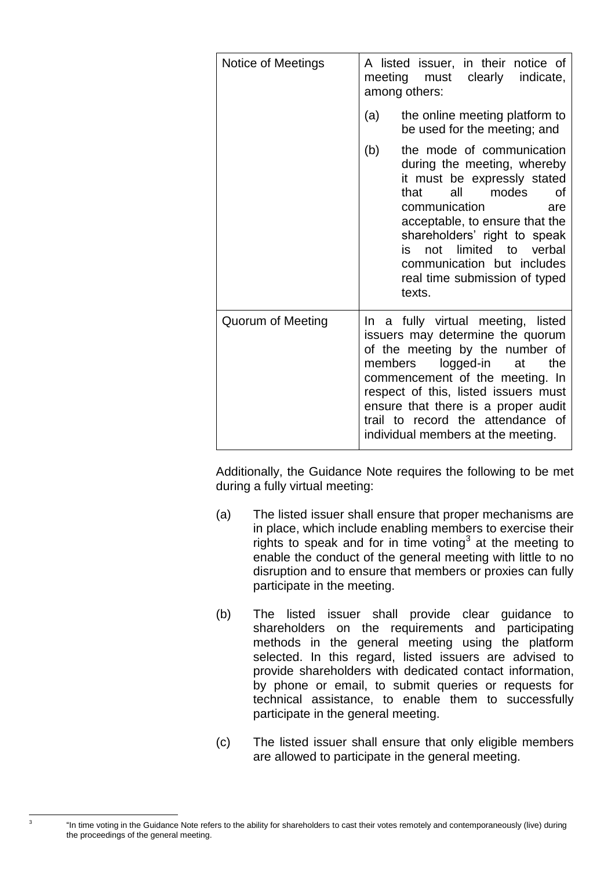| Notice of Meetings |         | A listed issuer, in their notice of<br>meeting must clearly<br>indicate,<br>among others:                                                                                                                                                                                                                                        |
|--------------------|---------|----------------------------------------------------------------------------------------------------------------------------------------------------------------------------------------------------------------------------------------------------------------------------------------------------------------------------------|
|                    | (a)     | the online meeting platform to<br>be used for the meeting; and                                                                                                                                                                                                                                                                   |
|                    | (b)     | the mode of communication<br>during the meeting, whereby<br>it must be expressly stated<br>modes<br>that<br>all<br>οf<br>communication<br>are<br>acceptable, to ensure that the<br>shareholders' right to speak<br>not limited to verbal<br>is<br>communication but includes<br>real time submission of typed<br>texts.          |
| Quorum of Meeting  | members | In a fully virtual meeting, listed<br>issuers may determine the quorum<br>of the meeting by the number of<br>logged-in<br>the<br>at<br>commencement of the meeting. In<br>respect of this, listed issuers must<br>ensure that there is a proper audit<br>trail to record the attendance of<br>individual members at the meeting. |

Additionally, the Guidance Note requires the following to be met during a fully virtual meeting:

- (a) The listed issuer shall ensure that proper mechanisms are in place, which include enabling members to exercise their rights to speak and for in time voting<sup>3</sup> at the meeting to enable the conduct of the general meeting with little to no disruption and to ensure that members or proxies can fully participate in the meeting.
- (b) The listed issuer shall provide clear guidance to shareholders on the requirements and participating methods in the general meeting using the platform selected. In this regard, listed issuers are advised to provide shareholders with dedicated contact information, by phone or email, to submit queries or requests for technical assistance, to enable them to successfully participate in the general meeting.
- (c) The listed issuer shall ensure that only eligible members are allowed to participate in the general meeting.

<sup>&</sup>quot;In time voting in the Guidance Note refers to the ability for shareholders to cast their votes remotely and contemporaneously (live) during the proceedings of the general meeting.